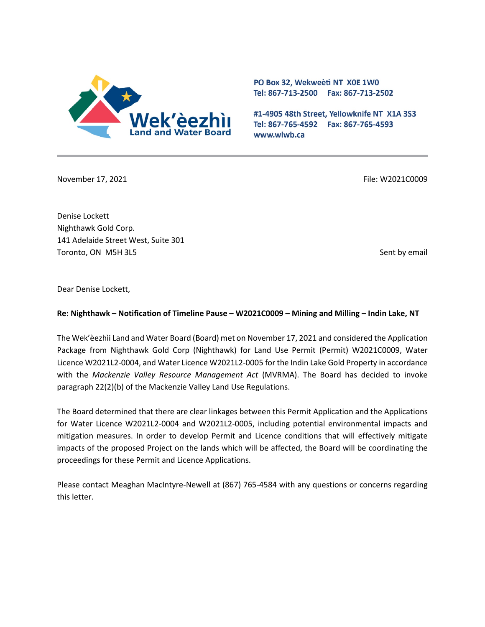

PO Box 32, Wekweeti NT X0E 1W0 Tel: 867-713-2500 Fax: 867-713-2502

#1-4905 48th Street, Yellowknife NT X1A 3S3 Tel: 867-765-4592 Fax: 867-765-4593 www.wlwb.ca

November 17, 2021 **File: W2021C0009** File: W2021C0009

Denise Lockett Nighthawk Gold Corp. 141 Adelaide Street West, Suite 301 Toronto, ON M5H 3L5 Sent by email

Dear Denise Lockett,

## **Re: Nighthawk – Notification of Timeline Pause – W2021C0009 – Mining and Milling – Indin Lake, NT**

The Wek'èezhìi Land and Water Board (Board) met on November 17, 2021 and considered the Application Package from Nighthawk Gold Corp (Nighthawk) for Land Use Permit (Permit) W2021C0009, Water Licence W2021L2-0004, and Water Licence W2021L2-0005 for the Indin Lake Gold Property in accordance with the *Mackenzie Valley Resource Management Act* (MVRMA). The Board has decided to invoke paragraph 22(2)(b) of the Mackenzie Valley Land Use Regulations.

The Board determined that there are clear linkages between this Permit Application and the Applications for Water Licence W2021L2-0004 and W2021L2-0005, including potential environmental impacts and mitigation measures. In order to develop Permit and Licence conditions that will effectively mitigate impacts of the proposed Project on the lands which will be affected, the Board will be coordinating the proceedings for these Permit and Licence Applications.

Please contact Meaghan MacIntyre-Newell at (867) 765-4584 with any questions or concerns regarding this letter.